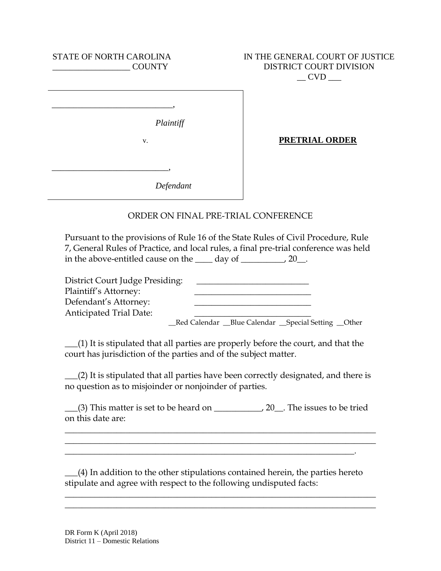| STATE OF NORTH CAROLINA<br><b>COUNTY</b> | IN THE GENERAL COURT OF JUSTICE<br>DISTRICT COURT DIVISION<br><b>CVD</b> |
|------------------------------------------|--------------------------------------------------------------------------|
| Plaintiff<br>v.                          | PRETRIAL ORDER                                                           |
| Defendant                                |                                                                          |
|                                          | ORDER ON FINAL PRE-TRIAL CONFERENCE                                      |

Pursuant to the provisions of Rule 16 of the State Rules of Civil Procedure, Rule 7, General Rules of Practice, and local rules, a final pre-trial conference was held in the above-entitled cause on the  $\_\_\_$  day of  $\_\_\_\_$ , 20 $\_\_\_\$ .

| District Court Judge Presiding: |                                                         |  |
|---------------------------------|---------------------------------------------------------|--|
| Plaintiff's Attorney:           |                                                         |  |
| Defendant's Attorney:           |                                                         |  |
| <b>Anticipated Trial Date:</b>  |                                                         |  |
|                                 | _Red Calendar __Blue Calendar __Special Setting __Other |  |

\_\_\_(1) It is stipulated that all parties are properly before the court, and that the court has jurisdiction of the parties and of the subject matter.

\_\_\_(2) It is stipulated that all parties have been correctly designated, and there is no question as to misjoinder or nonjoinder of parties.

\_\_\_(3) This matter is set to be heard on \_\_\_\_\_\_\_\_\_\_\_, 20\_\_. The issues to be tried on this date are:

 $\_$  , and the set of the set of the set of the set of the set of the set of the set of the set of the set of the set of the set of the set of the set of the set of the set of the set of the set of the set of the set of th  $\_$  , and the set of the set of the set of the set of the set of the set of the set of the set of the set of the set of the set of the set of the set of the set of the set of the set of the set of the set of the set of th

\_\_\_(4) In addition to the other stipulations contained herein, the parties hereto stipulate and agree with respect to the following undisputed facts:

 $\_$  , and the set of the set of the set of the set of the set of the set of the set of the set of the set of the set of the set of the set of the set of the set of the set of the set of the set of the set of the set of th  $\_$  , and the set of the set of the set of the set of the set of the set of the set of the set of the set of the set of the set of the set of the set of the set of the set of the set of the set of the set of the set of th

\_\_\_\_\_\_\_\_\_\_\_\_\_\_\_\_\_\_\_\_\_\_\_\_\_\_\_\_\_\_\_\_\_\_\_\_\_\_\_\_\_\_\_\_\_\_\_\_\_\_\_\_\_\_\_\_\_\_\_\_\_\_\_\_\_\_\_.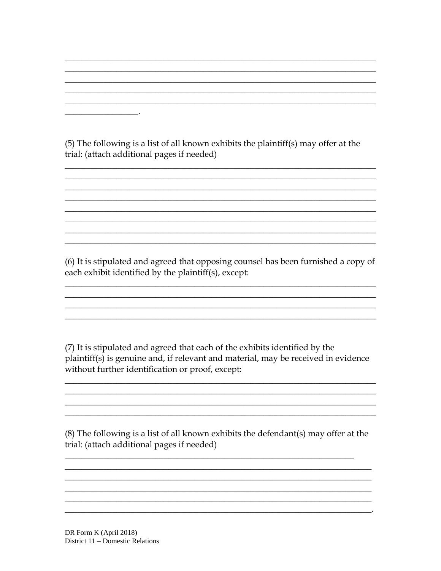(5) The following is a list of all known exhibits the plaintiff(s) may offer at the trial: (attach additional pages if needed)

 $\overline{\phantom{a}}$ 

(6) It is stipulated and agreed that opposing counsel has been furnished a copy of each exhibit identified by the plaintiff(s), except:

(7) It is stipulated and agreed that each of the exhibits identified by the plaintiff(s) is genuine and, if relevant and material, may be received in evidence without further identification or proof, except:

 $(8)$  The following is a list of all known exhibits the defendant $(s)$  may offer at the trial: (attach additional pages if needed)

DR Form K (April 2018) District 11 – Domestic Relations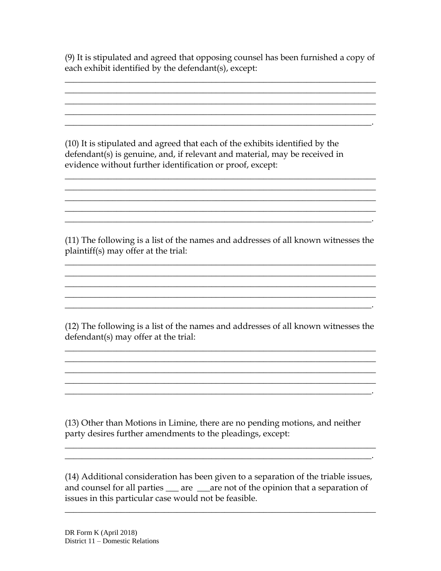(9) It is stipulated and agreed that opposing counsel has been furnished a copy of each exhibit identified by the defendant(s), except:

 $\_$  , and the set of the set of the set of the set of the set of the set of the set of the set of the set of the set of the set of the set of the set of the set of the set of the set of the set of the set of the set of th  $\_$  , and the set of the set of the set of the set of the set of the set of the set of the set of the set of the set of the set of the set of the set of the set of the set of the set of the set of the set of the set of th  $\_$  , and the set of the set of the set of the set of the set of the set of the set of the set of the set of the set of the set of the set of the set of the set of the set of the set of the set of the set of the set of th  $\_$  , and the set of the set of the set of the set of the set of the set of the set of the set of the set of the set of the set of the set of the set of the set of the set of the set of the set of the set of the set of th  $\overline{\phantom{a}}$  , and the contract of the contract of the contract of the contract of the contract of the contract of the contract of the contract of the contract of the contract of the contract of the contract of the contrac

(10) It is stipulated and agreed that each of the exhibits identified by the defendant(s) is genuine, and, if relevant and material, may be received in evidence without further identification or proof, except:

(11) The following is a list of the names and addresses of all known witnesses the plaintiff(s) may offer at the trial:

 $\_$  , and the set of the set of the set of the set of the set of the set of the set of the set of the set of the set of the set of the set of the set of the set of the set of the set of the set of the set of the set of th  $\_$  , and the set of the set of the set of the set of the set of the set of the set of the set of the set of the set of the set of the set of the set of the set of the set of the set of the set of the set of the set of th  $\_$  , and the set of the set of the set of the set of the set of the set of the set of the set of the set of the set of the set of the set of the set of the set of the set of the set of the set of the set of the set of th  $\_$  , and the set of the set of the set of the set of the set of the set of the set of the set of the set of the set of the set of the set of the set of the set of the set of the set of the set of the set of the set of th

 $\_$  , and the set of the set of the set of the set of the set of the set of the set of the set of the set of the set of the set of the set of the set of the set of the set of the set of the set of the set of the set of th  $\_$  , and the set of the set of the set of the set of the set of the set of the set of the set of the set of the set of the set of the set of the set of the set of the set of the set of the set of the set of the set of th

 $\_$  , and the set of the set of the set of the set of the set of the set of the set of the set of the set of the set of the set of the set of the set of the set of the set of the set of the set of the set of the set of th  $\overline{\phantom{a}}$  , and the contract of the contract of the contract of the contract of the contract of the contract of the contract of the contract of the contract of the contract of the contract of the contract of the contrac

(12) The following is a list of the names and addresses of all known witnesses the defendant(s) may offer at the trial:

 $\_$  , and the set of the set of the set of the set of the set of the set of the set of the set of the set of the set of the set of the set of the set of the set of the set of the set of the set of the set of the set of th  $\_$  , and the set of the set of the set of the set of the set of the set of the set of the set of the set of the set of the set of the set of the set of the set of the set of the set of the set of the set of the set of th  $\_$  , and the set of the set of the set of the set of the set of the set of the set of the set of the set of the set of the set of the set of the set of the set of the set of the set of the set of the set of the set of th

 $\overline{\phantom{a}}$  , and the contract of the contract of the contract of the contract of the contract of the contract of the contract of the contract of the contract of the contract of the contract of the contract of the contrac

 $\frac{1}{2}$  ,  $\frac{1}{2}$  ,  $\frac{1}{2}$  ,  $\frac{1}{2}$  ,  $\frac{1}{2}$  ,  $\frac{1}{2}$  ,  $\frac{1}{2}$  ,  $\frac{1}{2}$  ,  $\frac{1}{2}$  ,  $\frac{1}{2}$  ,  $\frac{1}{2}$  ,  $\frac{1}{2}$  ,  $\frac{1}{2}$  ,  $\frac{1}{2}$  ,  $\frac{1}{2}$  ,  $\frac{1}{2}$  ,  $\frac{1}{2}$  ,  $\frac{1}{2}$  ,  $\frac{1$ 

\_\_\_\_\_\_\_\_\_\_\_\_\_\_\_\_\_\_\_\_\_\_\_\_\_\_\_\_\_\_\_\_\_\_\_\_\_\_\_\_\_\_\_\_\_\_\_\_\_\_\_\_\_\_\_\_\_\_\_\_\_\_\_\_\_\_\_\_\_\_\_\_

(13) Other than Motions in Limine, there are no pending motions, and neither party desires further amendments to the pleadings, except:

(14) Additional consideration has been given to a separation of the triable issues, and counsel for all parties <u>equal times</u> are are not of the opinion that a separation of issues in this particular case would not be feasible.

 $\_$  , and the set of the set of the set of the set of the set of the set of the set of the set of the set of the set of the set of the set of the set of the set of the set of the set of the set of the set of the set of th

 $\overline{\phantom{a}}$  , and the contract of the contract of the contract of the contract of the contract of the contract of the contract of the contract of the contract of the contract of the contract of the contract of the contrac